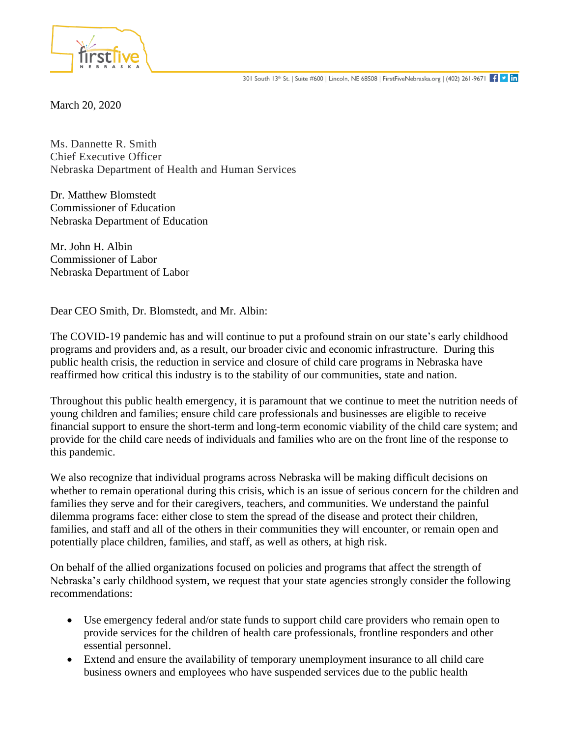

March 20, 2020

Ms. Dannette R. Smith Chief Executive Officer Nebraska Department of Health and Human Services

Dr. Matthew Blomstedt Commissioner of Education Nebraska Department of Education

Mr. John H. Albin Commissioner of Labor Nebraska Department of Labor

Dear CEO Smith, Dr. Blomstedt, and Mr. Albin:

The COVID-19 pandemic has and will continue to put a profound strain on our state's early childhood programs and providers and, as a result, our broader civic and economic infrastructure. During this public health crisis, the reduction in service and closure of child care programs in Nebraska have reaffirmed how critical this industry is to the stability of our communities, state and nation.

Throughout this public health emergency, it is paramount that we continue to meet the nutrition needs of young children and families; ensure child care professionals and businesses are eligible to receive financial support to ensure the short-term and long-term economic viability of the child care system; and provide for the child care needs of individuals and families who are on the front line of the response to this pandemic.

We also recognize that individual programs across Nebraska will be making difficult decisions on whether to remain operational during this crisis, which is an issue of serious concern for the children and families they serve and for their caregivers, teachers, and communities. We understand the painful dilemma programs face: either close to stem the spread of the disease and protect their children, families, and staff and all of the others in their communities they will encounter, or remain open and potentially place children, families, and staff, as well as others, at high risk.

On behalf of the allied organizations focused on policies and programs that affect the strength of Nebraska's early childhood system, we request that your state agencies strongly consider the following recommendations:

- Use emergency federal and/or state funds to support child care providers who remain open to provide services for the children of health care professionals, frontline responders and other essential personnel.
- Extend and ensure the availability of temporary unemployment insurance to all child care business owners and employees who have suspended services due to the public health